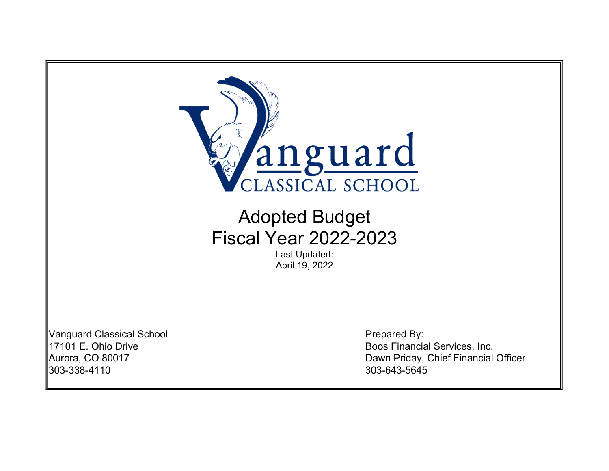

# Adopted Budget Fiscal Year 2022-2023

Last Updated: April 19, 2022

Vanguard Classical School **Prepared By:** 303-338-4110 303-643-5645

17101 E. Ohio Drive **Boos Financial Services**, Inc. Aurora, CO 80017 Dawn Priday, Chief Financial Officer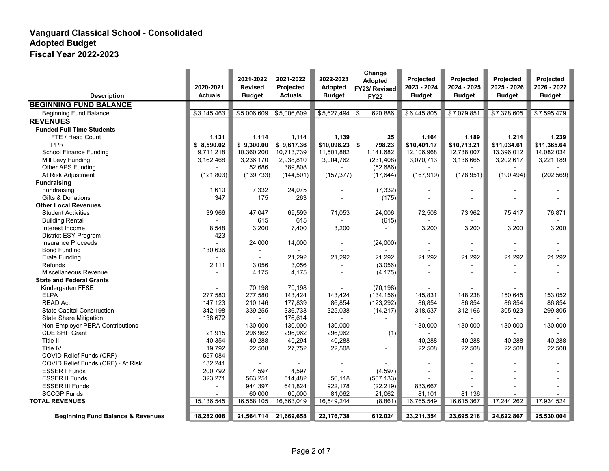|                                              | 2020-2021      | 2021-2022<br><b>Revised</b> | 2021-2022<br>Projected | 2022-2023<br>Adopted | Change<br>Adopted<br>FY23/ Revised | <b>Projected</b><br>2023 - 2024 | Projected<br>2024 - 2025 | Projected<br>2025 - 2026 | Projected<br>2026 - 2027 |
|----------------------------------------------|----------------|-----------------------------|------------------------|----------------------|------------------------------------|---------------------------------|--------------------------|--------------------------|--------------------------|
| <b>Description</b>                           | <b>Actuals</b> | <b>Budget</b>               | <b>Actuals</b>         | <b>Budget</b>        | <b>FY22</b>                        | <b>Budget</b>                   | <b>Budget</b>            | <b>Budget</b>            | <b>Budget</b>            |
| <b>BEGINNING FUND BALANCE</b>                |                |                             |                        |                      |                                    |                                 |                          |                          |                          |
| <b>Beginning Fund Balance</b>                | \$3,145,463    | \$5,006,609                 | \$5,006,609            | \$5,627,494          | \$<br>620,886                      | \$6,445,805                     | \$7,079,851              | \$7,378,605              | \$7,595,479              |
| <b>REVENUES</b>                              |                |                             |                        |                      |                                    |                                 |                          |                          |                          |
| <b>Funded Full Time Students</b>             |                |                             |                        |                      |                                    |                                 |                          |                          |                          |
| FTE / Head Count                             | 1,131          | 1.114                       | 1,114                  | 1,139                | 25                                 | 1,164                           | 1,189                    | 1,214                    | 1,239                    |
| <b>PPR</b>                                   | \$8,590.02     | \$9,300.00                  | \$9,617.36             | $$10,098.23$ \$      | 798.23                             | \$10,401.17                     | \$10,713.21              | \$11,034.61              | \$11,365.64              |
| School Finance Funding                       | 9,711,218      | 10,360,200                  | 10,713,739             | 11,501,882           | 1,141,682                          | 12,106,968                      | 12,738,007               | 13,396,012               | 14,082,034               |
| Mill Levy Funding                            | 3,162,468      | 3,236,170                   | 2,938,810              | 3,004,762            | (231, 408)                         | 3,070,713                       | 3,136,665                | 3,202,617                | 3,221,189                |
| Other APS Funding                            |                | 52,686                      | 389,808                |                      | (52,686)                           |                                 |                          |                          |                          |
| At Risk Adjustment                           | (121, 803)     | (139, 733)                  | (144, 501)             | (157, 377)           | (17, 644)                          | (167, 919)                      | (178, 951)               | (190, 494)               | (202, 569)               |
| <b>Fundraising</b>                           |                |                             |                        |                      |                                    |                                 |                          |                          |                          |
| Fundraising                                  | 1,610          | 7,332                       | 24,075                 |                      | (7, 332)                           |                                 |                          |                          |                          |
| Gifts & Donations                            | 347            | 175                         | 263                    |                      | (175)                              |                                 |                          |                          |                          |
| <b>Other Local Revenues</b>                  |                |                             |                        |                      |                                    |                                 |                          |                          |                          |
| <b>Student Activities</b>                    | 39,966         | 47,047                      | 69,599                 | 71,053               | 24,006                             | 72,508                          | 73,962                   | 75,417                   | 76,871                   |
| <b>Building Rental</b>                       |                | 615                         | 615                    |                      | (615)                              |                                 |                          |                          |                          |
| Interest Income                              | 8,548          | 3,200                       | 7,400                  | 3,200                |                                    | 3,200                           | 3,200                    | 3,200                    | 3,200                    |
| District ESY Program                         | 423            |                             |                        |                      |                                    | $\overline{a}$                  |                          |                          |                          |
| <b>Insurance Proceeds</b>                    |                | 24,000                      | 14,000                 |                      | (24,000)                           |                                 |                          |                          |                          |
| <b>Bond Funding</b>                          | 130,636        |                             |                        |                      |                                    |                                 |                          |                          |                          |
| <b>Erate Funding</b>                         |                |                             | 21,292                 | 21,292               | 21,292                             | 21,292                          | 21,292                   | 21,292                   | 21,292                   |
| <b>Refunds</b>                               | 2,111          | 3,056                       | 3,056                  |                      | (3,056)                            |                                 |                          |                          |                          |
| Miscellaneous Revenue                        |                | 4,175                       | 4,175                  |                      | (4, 175)                           |                                 |                          |                          |                          |
| <b>State and Federal Grants</b>              |                |                             |                        |                      |                                    |                                 |                          |                          |                          |
| Kindergarten FF&E                            |                | 70,198                      | 70,198                 |                      | (70, 198)                          |                                 |                          |                          |                          |
| <b>ELPA</b>                                  | 277,580        | 277,580                     | 143,424                | 143,424              | (134, 156)                         | 145.831                         | 148,238                  | 150.645                  | 153,052                  |
| <b>READ Act</b>                              | 147,123        | 210,146                     | 177,839                | 86,854               | (123, 292)                         | 86,854                          | 86,854                   | 86,854                   | 86,854                   |
| <b>State Capital Construction</b>            | 342,198        | 339,255                     | 336,733                | 325,038              | (14, 217)                          | 318,537                         | 312,166                  | 305,923                  | 299,805                  |
| <b>State Share Mitigation</b>                | 138,672        |                             | 176,614                |                      |                                    |                                 |                          |                          |                          |
| Non-Employer PERA Contributions              |                | 130.000                     | 130.000                | 130.000              | $\overline{a}$                     | 130,000                         | 130,000                  | 130,000                  | 130,000                  |
| CDE SHP Grant                                | 21,915         | 296,962                     | 296,962                | 296,962              | (1)                                |                                 |                          |                          |                          |
| Title II                                     | 40,354         | 40,288                      | 40,294                 | 40,288               |                                    | 40,288                          | 40,288                   | 40.288                   | 40,288                   |
| Title IV                                     | 19,792         | 22,508                      | 27,752                 | 22,508               | $\blacksquare$                     | 22,508                          | 22,508                   | 22,508                   | 22,508                   |
| COVID Relief Funds (CRF)                     | 557,084        |                             |                        |                      |                                    |                                 |                          |                          |                          |
| COVID Relief Funds (CRF) - At Risk           | 132,241        |                             |                        |                      |                                    |                                 |                          |                          |                          |
| ESSER I Funds                                | 200,792        | 4,597                       | 4,597                  |                      | (4,597)                            |                                 |                          |                          |                          |
| <b>ESSER II Funds</b>                        | 323,271        | 563,251                     | 514,482                | 56,118               | (507, 133)                         |                                 |                          |                          |                          |
| <b>ESSER III Funds</b>                       | $\blacksquare$ | 944,397                     | 641,824                | 922,178              | (22, 219)                          | 833,667                         |                          |                          |                          |
| <b>SCCGP Funds</b>                           |                | 60,000                      | 60,000                 | 81,062               | 21,062                             | 81,101                          | 81,136                   |                          |                          |
| <b>TOTAL REVENUES</b>                        | 15,136,545     | 16,558,105                  | 16,663,049             | 16,549,244           | (8, 861)                           | 16,765,549                      | 16,615,367               | 17,244,262               | 17,934,524               |
|                                              |                |                             |                        |                      |                                    |                                 |                          |                          |                          |
| <b>Beginning Fund Balance &amp; Revenues</b> | 18,282,008     | 21,564,714                  | 21,669,658             | 22,176,738           | 612,024                            | 23,211,354                      | 23,695,218               | 24,622,867               | 25,530,004               |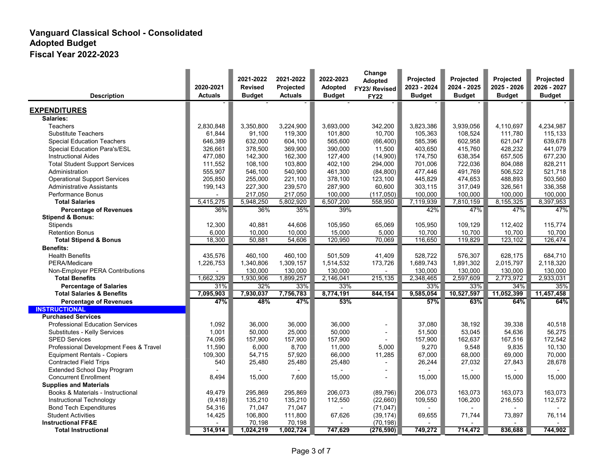| <b>Description</b>                             | 2020-2021<br><b>Actuals</b> | 2021-2022<br><b>Revised</b><br><b>Budget</b> | 2021-2022<br>Projected<br><b>Actuals</b> | 2022-2023<br><b>Adopted</b><br><b>Budget</b> | Change<br><b>Adopted</b><br>FY23/ Revised<br><b>FY22</b> | <b>Projected</b><br>2023 - 2024<br><b>Budget</b> | Projected<br>2024 - 2025<br><b>Budget</b> | Projected<br>2025 - 2026<br><b>Budget</b> | Projected<br>2026 - 2027<br><b>Budget</b> |
|------------------------------------------------|-----------------------------|----------------------------------------------|------------------------------------------|----------------------------------------------|----------------------------------------------------------|--------------------------------------------------|-------------------------------------------|-------------------------------------------|-------------------------------------------|
| <b>EXPENDITURES</b>                            |                             |                                              |                                          |                                              |                                                          |                                                  |                                           |                                           |                                           |
| Salaries:                                      |                             |                                              |                                          |                                              |                                                          |                                                  |                                           |                                           |                                           |
| Teachers                                       | 2,830,848                   | 3,350,800                                    | 3,224,900                                | 3,693,000                                    | 342,200                                                  | 3,823,386                                        | 3,939,056                                 | 4,110,697                                 | 4,234,987                                 |
| <b>Substitute Teachers</b>                     | 61,844                      | 91,100                                       | 119,300                                  | 101,800                                      | 10,700                                                   | 105,363                                          | 108,524                                   | 111,780                                   | 115,133                                   |
| <b>Special Education Teachers</b>              | 646,389                     | 632,000                                      | 604,100                                  | 565,600                                      | (66, 400)                                                | 585,396                                          | 602,958                                   | 621.047                                   | 639,678                                   |
| Special Education Para's/ESL                   | 326,661                     | 378,500                                      | 369,900                                  | 390,000                                      | 11,500                                                   | 403,650                                          | 415,760                                   | 428,232                                   | 441,079                                   |
| <b>Instructional Aides</b>                     | 477,080                     | 142,300                                      | 162,300                                  | 127,400                                      | (14,900)                                                 | 174,750                                          | 638,354                                   | 657,505                                   | 677,230                                   |
| <b>Total Student Support Services</b>          | 111,552                     | 108.100                                      | 103,800                                  | 402,100                                      | 294,000                                                  | 701,006                                          | 722,036                                   | 804,088                                   | 828,211                                   |
| Administration                                 | 555,907                     | 546.100                                      | 540,900                                  | 461,300                                      | (84, 800)                                                | 477,446                                          | 491,769                                   | 506.522                                   | 521,718                                   |
| <b>Operational Support Services</b>            | 205,850                     | 255,000                                      | 221,100                                  | 378,100                                      | 123,100                                                  | 445,829                                          | 474,653                                   | 488,893                                   | 503,560                                   |
| <b>Administrative Assistants</b>               | 199,143                     | 227,300                                      | 239,570                                  | 287,900                                      | 60,600                                                   | 303,115                                          | 317,049                                   | 326,561                                   | 336,358                                   |
| <b>Performance Bonus</b>                       |                             | 217,050                                      | 217,050                                  | 100,000                                      | (117,050)                                                | 100,000                                          | 100,000                                   | 100,000                                   | 100,000                                   |
| <b>Total Salaries</b>                          | 5,415,275                   | 5,948,250                                    | 5.802.920                                | 6,507,200                                    | 558,950                                                  | 7,119,939                                        | 7,810,159                                 | 8,155,325                                 | 8,397,953                                 |
|                                                | 36%                         | 36%                                          | 35%                                      | 39%                                          |                                                          | 42%                                              | 47%                                       | 47%                                       | 47%                                       |
| <b>Percentage of Revenues</b>                  |                             |                                              |                                          |                                              |                                                          |                                                  |                                           |                                           |                                           |
| <b>Stipend &amp; Bonus:</b><br><b>Stipends</b> |                             | 40.881                                       | 44,606                                   |                                              |                                                          |                                                  |                                           |                                           | 115,774                                   |
| <b>Retention Bonus</b>                         | 12,300<br>6.000             | 10.000                                       | 10,000                                   | 105,950<br>15.000                            | 65,069<br>5,000                                          | 105,950<br>10.700                                | 109,129<br>10.700                         | 112,402<br>10.700                         | 10.700                                    |
| <b>Total Stipend &amp; Bonus</b>               | 18,300                      | 50,881                                       | 54,606                                   | 120,950                                      | 70,069                                                   | 116,650                                          | 119,829                                   | 123,102                                   | 126,474                                   |
|                                                |                             |                                              |                                          |                                              |                                                          |                                                  |                                           |                                           |                                           |
| <b>Benefits:</b>                               |                             |                                              |                                          |                                              |                                                          |                                                  |                                           |                                           |                                           |
| <b>Health Benefits</b>                         | 435,576                     | 460,100                                      | 460,100                                  | 501,509                                      | 41,409                                                   | 528,722                                          | 576,307                                   | 628,175                                   | 684,710                                   |
| PERA/Medicare                                  | 1,226,753                   | 1,340,806                                    | 1,309,157                                | 1,514,532                                    | 173,726                                                  | 1,689,743                                        | 1,891,302                                 | 2,015,797                                 | 2,118,320                                 |
| Non-Employer PERA Contributions                |                             | 130,000                                      | 130,000                                  | 130,000                                      |                                                          | 130,000                                          | 130,000                                   | 130,000                                   | 130,000                                   |
| <b>Total Benefits</b>                          | 1,662,329                   | 1,930,906                                    | 1,899,257                                | 2,146,041                                    | 215,135                                                  | 2,348,465                                        | 2,597,609                                 | 2,773,972                                 | 2,933,031                                 |
| <b>Percentage of Salaries</b>                  | 31%                         | 32%                                          | 33%                                      | 33%                                          |                                                          | 33%                                              | 33%                                       | 34%                                       | 35%                                       |
| <b>Total Salaries &amp; Benefits</b>           | 7,095,903                   | 7,930,037                                    | 7,756,783                                | 8,774,191                                    | 844,154                                                  | 9,585,054                                        | 10,527,597                                | 11,052,399                                | 11,457,458                                |
| <b>Percentage of Revenues</b>                  | 47%                         | 48%                                          | 47%                                      | 53%                                          |                                                          | 57%                                              | 63%                                       | 64%                                       | 64%                                       |
| <b>INSTRUCTIONAL</b>                           |                             |                                              |                                          |                                              |                                                          |                                                  |                                           |                                           |                                           |
| <b>Purchased Services</b>                      |                             |                                              |                                          |                                              |                                                          |                                                  |                                           |                                           |                                           |
| <b>Professional Education Services</b>         | 1,092                       | 36,000                                       | 36,000                                   | 36,000                                       | $\overline{a}$                                           | 37,080                                           | 38,192                                    | 39,338                                    | 40,518                                    |
| Substitutes - Kelly Services                   | 1,001                       | 50,000                                       | 25,000                                   | 50,000                                       | ÷,                                                       | 51,500                                           | 53,045                                    | 54,636                                    | 56,275                                    |
| <b>SPED Services</b>                           | 74,095                      | 157,900                                      | 157,900                                  | 157,900                                      |                                                          | 157,900                                          | 162,637                                   | 167,516                                   | 172,542                                   |
| Professional Development Fees & Travel         | 11,590                      | 6,000                                        | 8,700                                    | 11,000                                       | 5,000                                                    | 9,270                                            | 9,548                                     | 9,835                                     | 10,130                                    |
| <b>Equipment Rentals - Copiers</b>             | 109,300                     | 54,715                                       | 57,920                                   | 66,000                                       | 11,285                                                   | 67,000                                           | 68,000                                    | 69,000                                    | 70,000                                    |
| <b>Contracted Field Trips</b>                  | 540                         | 25,480                                       | 25,480                                   | 25,480                                       | $\overline{\phantom{a}}$                                 | 26,244                                           | 27,032                                    | 27,843                                    | 28,678                                    |
| <b>Extended School Day Program</b>             |                             |                                              |                                          |                                              | $\overline{a}$                                           |                                                  |                                           |                                           |                                           |
| <b>Concurrent Enrollment</b>                   | 8,494                       | 15,000                                       | 7.600                                    | 15,000                                       |                                                          | 15,000                                           | 15,000                                    | 15,000                                    | 15,000                                    |
| <b>Supplies and Materials</b>                  |                             |                                              |                                          |                                              |                                                          |                                                  |                                           |                                           |                                           |
| Books & Materials - Instructional              | 49,479                      | 295,869                                      | 295,869                                  | 206,073                                      | (89, 796)                                                | 206,073                                          | 163,073                                   | 163,073                                   | 163,073                                   |
| Instructional Technology                       | (9, 418)                    | 135,210                                      | 135,210                                  | 112,550                                      | (22,660)                                                 | 109,550                                          | 106,200                                   | 216,550                                   | 112,572                                   |
| <b>Bond Tech Expenditures</b>                  | 54,316                      | 71,047                                       | 71,047                                   |                                              | (71, 047)                                                |                                                  |                                           |                                           |                                           |
| <b>Student Activities</b>                      | 14,425                      | 106,800                                      | 111,800                                  | 67,626                                       | (39, 174)                                                | 69,655                                           | 71,744                                    | 73,897                                    | 76,114                                    |
| <b>Instructional FF&amp;E</b>                  |                             | 70,198                                       | 70,198                                   |                                              | (70, 198)                                                |                                                  |                                           |                                           |                                           |
| <b>Total Instructional</b>                     | 314,914                     | 1,024,219                                    | 1,002,724                                | 747,629                                      | (276, 590)                                               | 749,272                                          | 714,472                                   | 836.688                                   | 744.902                                   |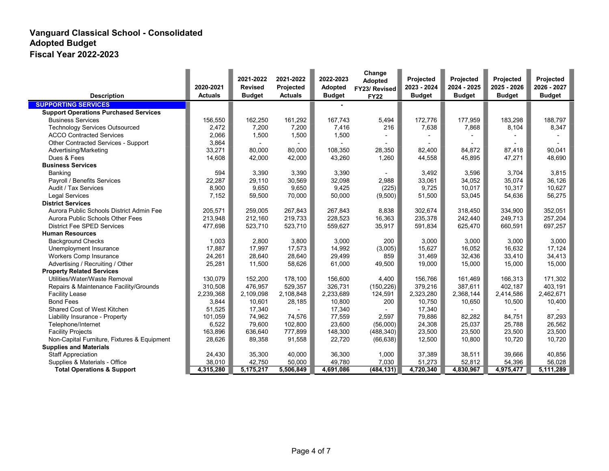| <b>Description</b>                           | 2020-2021<br><b>Actuals</b> | 2021-2022<br><b>Revised</b><br><b>Budget</b> | 2021-2022<br>Projected<br><b>Actuals</b> | 2022-2023<br><b>Adopted</b><br><b>Budget</b> | Change<br>Adopted<br>FY23/ Revised<br><b>FY22</b> | Projected<br>2023 - 2024<br><b>Budget</b> | Projected<br>2024 - 2025<br><b>Budget</b> | Projected<br>2025 - 2026<br><b>Budget</b> | Projected<br>2026 - 2027<br><b>Budget</b> |
|----------------------------------------------|-----------------------------|----------------------------------------------|------------------------------------------|----------------------------------------------|---------------------------------------------------|-------------------------------------------|-------------------------------------------|-------------------------------------------|-------------------------------------------|
| <b>SUPPORTING SERVICES</b>                   |                             |                                              |                                          |                                              |                                                   |                                           |                                           |                                           |                                           |
| <b>Support Operations Purchased Services</b> |                             |                                              |                                          |                                              |                                                   |                                           |                                           |                                           |                                           |
| <b>Business Services</b>                     | 156,550                     | 162,250                                      | 161,292                                  | 167,743                                      | 5,494                                             | 172,776                                   | 177,959                                   | 183,298                                   | 188,797                                   |
| <b>Technology Services Outsourced</b>        | 2,472                       | 7,200                                        | 7,200                                    | 7,416                                        | 216                                               | 7.638                                     | 7.868                                     | 8,104                                     | 8,347                                     |
| <b>ACCO Contracted Services</b>              | 2,066                       | 1,500                                        | 1,500                                    | 1,500                                        |                                                   |                                           |                                           |                                           |                                           |
| Other Contracted Services - Support          | 3,864                       |                                              |                                          |                                              |                                                   |                                           |                                           |                                           |                                           |
| Advertising/Marketing                        | 33,271                      | 80,000                                       | 80.000                                   | 108.350                                      | 28,350                                            | 82.400                                    | 84,872                                    | 87,418                                    | 90,041                                    |
| Dues & Fees                                  | 14,608                      | 42,000                                       | 42,000                                   | 43,260                                       | 1,260                                             | 44,558                                    | 45,895                                    | 47,271                                    | 48,690                                    |
| <b>Business Services</b>                     |                             |                                              |                                          |                                              |                                                   |                                           |                                           |                                           |                                           |
| Banking                                      | 594                         | 3,390                                        | 3,390                                    | 3,390                                        |                                                   | 3,492                                     | 3,596                                     | 3.704                                     | 3,815                                     |
| Payroll / Benefits Services                  | 22,287                      | 29,110                                       | 30,569                                   | 32,098                                       | 2,988                                             | 33,061                                    | 34.052                                    | 35,074                                    | 36,126                                    |
| Audit / Tax Services                         | 8,900                       | 9,650                                        | 9,650                                    | 9,425                                        | (225)                                             | 9,725                                     | 10,017                                    | 10,317                                    | 10,627                                    |
| <b>Legal Services</b>                        | 7,152                       | 59,500                                       | 70,000                                   | 50,000                                       | (9,500)                                           | 51,500                                    | 53,045                                    | 54,636                                    | 56,275                                    |
| <b>District Services</b>                     |                             |                                              |                                          |                                              |                                                   |                                           |                                           |                                           |                                           |
| Aurora Public Schools District Admin Fee     | 205,571                     | 259,005                                      | 267,843                                  | 267,843                                      | 8,838                                             | 302,674                                   | 318,450                                   | 334,900                                   | 352,051                                   |
| Aurora Public Schools Other Fees             | 213,948                     | 212,160                                      | 219,733                                  | 228,523                                      | 16,363                                            | 235,378                                   | 242,440                                   | 249,713                                   | 257,204                                   |
| <b>District Fee SPED Services</b>            | 477,698                     | 523,710                                      | 523,710                                  | 559,627                                      | 35,917                                            | 591,834                                   | 625,470                                   | 660,591                                   | 697,257                                   |
| <b>Human Resources</b>                       |                             |                                              |                                          |                                              |                                                   |                                           |                                           |                                           |                                           |
| <b>Background Checks</b>                     | 1,003                       | 2,800                                        | 3,800                                    | 3,000                                        | 200                                               | 3,000                                     | 3,000                                     | 3,000                                     | 3,000                                     |
| Unemployment Insurance                       | 17,887                      | 17,997                                       | 17,573                                   | 14,992                                       | (3,005)                                           | 15,627                                    | 16,052                                    | 16,632                                    | 17,124                                    |
| <b>Workers Comp Insurance</b>                | 24,261                      | 28,640                                       | 28,640                                   | 29,499                                       | 859                                               | 31,469                                    | 32,436                                    | 33,410                                    | 34,413                                    |
| Advertising / Recruiting / Other             | 25,281                      | 11,500                                       | 58,626                                   | 61,000                                       | 49,500                                            | 19,000                                    | 15,000                                    | 15,000                                    | 15,000                                    |
| <b>Property Related Services</b>             |                             |                                              |                                          |                                              |                                                   |                                           |                                           |                                           |                                           |
| Utilities/Water/Waste Removal                | 130,079                     | 152,200                                      | 178,100                                  | 156,600                                      | 4,400                                             | 156.766                                   | 161.469                                   | 166.313                                   | 171,302                                   |
| Repairs & Maintenance Facility/Grounds       | 310.508                     | 476,957                                      | 529,357                                  | 326,731                                      | (150, 226)                                        | 379,216                                   | 387,611                                   | 402,187                                   | 403,191                                   |
| <b>Facility Lease</b>                        | 2,239,368                   | 2,109,098                                    | 2,108,848                                | 2,233,689                                    | 124,591                                           | 2,323,280                                 | 2,368,144                                 | 2,414,586                                 | 2,462,671                                 |
| <b>Bond Fees</b>                             | 3,844                       | 10,601                                       | 28,185                                   | 10,800                                       | 200                                               | 10,750                                    | 10,650                                    | 10,500                                    | 10,400                                    |
| Shared Cost of West Kitchen                  | 51,525                      | 17,340                                       |                                          | 17,340                                       |                                                   | 17,340                                    |                                           |                                           |                                           |
| Liability Insurance - Property               | 101,059                     | 74,962                                       | 74,576                                   | 77,559                                       | 2.597                                             | 79,886                                    | 82.282                                    | 84,751                                    | 87,293                                    |
| Telephone/Internet                           | 6,522                       | 79,600                                       | 102,800                                  | 23,600                                       | (56,000)                                          | 24,308                                    | 25,037                                    | 25,788                                    | 26,562                                    |
| <b>Facility Projects</b>                     | 163,896                     | 636,640                                      | 777,899                                  | 148,300                                      | (488, 340)                                        | 23,500                                    | 23,500                                    | 23,500                                    | 23,500                                    |
| Non-Capital Furniture, Fixtures & Equipment  | 28,626                      | 89,358                                       | 91,558                                   | 22,720                                       | (66, 638)                                         | 12,500                                    | 10,800                                    | 10,720                                    | 10,720                                    |
| <b>Supplies and Materials</b>                |                             |                                              |                                          |                                              |                                                   |                                           |                                           |                                           |                                           |
| <b>Staff Appreciation</b>                    | 24,430                      | 35,300                                       | 40,000                                   | 36,300                                       | 1,000                                             | 37,389                                    | 38,511                                    | 39,666                                    | 40,856                                    |
| Supplies & Materials - Office                | 38,010                      | 42,750                                       | 50,000                                   | 49,780                                       | 7,030                                             | 51,273                                    | 52,812                                    | 54,396                                    | 56,028                                    |
| <b>Total Operations &amp; Support</b>        | 4,315,280                   | 5,175,217                                    | 5,506,849                                | 4,691,086                                    | (484, 131)                                        | 4,720,340                                 | 4,830,967                                 | 4,975,477                                 | 5,111,289                                 |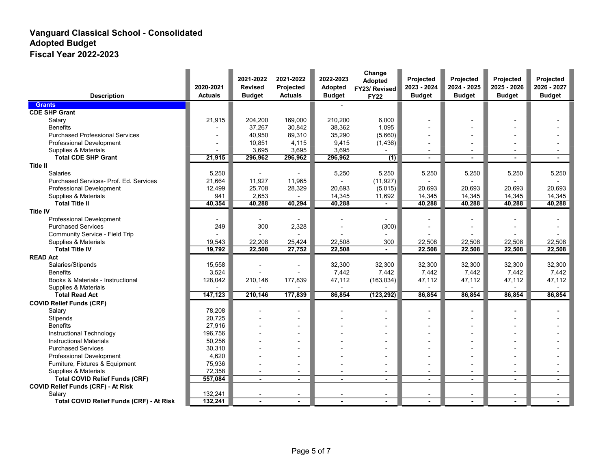| <b>Description</b>                        | 2020-2021<br><b>Actuals</b> | 2021-2022<br><b>Revised</b><br><b>Budget</b> | 2021-2022<br>Projected<br><b>Actuals</b> | 2022-2023<br>Adopted<br><b>Budget</b> | Change<br>Adopted<br>FY23/ Revised<br><b>FY22</b> | Projected<br>2023 - 2024<br><b>Budget</b> | Projected<br>2024 - 2025<br><b>Budget</b> | Projected<br>2025 - 2026<br><b>Budget</b> | Projected<br>2026 - 2027<br><b>Budget</b> |
|-------------------------------------------|-----------------------------|----------------------------------------------|------------------------------------------|---------------------------------------|---------------------------------------------------|-------------------------------------------|-------------------------------------------|-------------------------------------------|-------------------------------------------|
| <b>Grants</b>                             |                             |                                              |                                          |                                       |                                                   |                                           |                                           |                                           |                                           |
| <b>CDE SHP Grant</b>                      |                             |                                              |                                          |                                       |                                                   |                                           |                                           |                                           |                                           |
| Salary                                    | 21,915                      | 204,200                                      | 169,000                                  | 210,200                               | 6,000                                             |                                           |                                           |                                           |                                           |
| <b>Benefits</b>                           |                             | 37,267                                       | 30,842                                   | 38,362                                | 1,095                                             |                                           |                                           |                                           |                                           |
| <b>Purchased Professional Services</b>    |                             | 40,950                                       | 89,310                                   | 35,290                                | (5,660)                                           | $\overline{a}$                            |                                           |                                           |                                           |
| <b>Professional Development</b>           |                             | 10,851                                       | 4,115                                    | 9,415                                 | (1,436)                                           |                                           |                                           |                                           |                                           |
| Supplies & Materials                      |                             | 3,695                                        | 3,695                                    | 3,695                                 |                                                   | $\overline{\phantom{a}}$                  |                                           |                                           |                                           |
| <b>Total CDE SHP Grant</b>                | 21,915                      | 296,962                                      | 296,962                                  | 296,962                               | (1)                                               |                                           |                                           |                                           |                                           |
| <b>Title II</b>                           |                             |                                              |                                          |                                       |                                                   |                                           |                                           |                                           |                                           |
| <b>Salaries</b>                           | 5,250                       |                                              |                                          | 5,250                                 | 5,250                                             | 5,250                                     | 5,250                                     | 5,250                                     | 5,250                                     |
| Purchased Services- Prof. Ed. Services    | 21,664                      | 11,927                                       | 11,965                                   |                                       | (11, 927)                                         |                                           |                                           |                                           |                                           |
| <b>Professional Development</b>           | 12,499                      | 25,708                                       | 28,329                                   | 20,693                                | (5,015)                                           | 20,693                                    | 20,693                                    | 20.693                                    | 20,693                                    |
| Supplies & Materials                      | 941                         | 2,653                                        |                                          | 14,345                                | 11,692                                            | 14,345                                    | 14,345                                    | 14,345                                    | 14,345                                    |
| <b>Total Title II</b>                     | 40,354                      | 40,288                                       | 40,294                                   | 40,288                                |                                                   | 40,288                                    | 40,288                                    | 40,288                                    | 40,288                                    |
| <b>Title IV</b>                           |                             |                                              |                                          |                                       |                                                   |                                           |                                           |                                           |                                           |
| <b>Professional Development</b>           |                             |                                              |                                          |                                       |                                                   |                                           |                                           |                                           |                                           |
| <b>Purchased Services</b>                 | 249                         | 300                                          | 2,328                                    |                                       | (300)                                             |                                           |                                           |                                           |                                           |
| Community Service - Field Trip            |                             |                                              |                                          |                                       |                                                   |                                           |                                           |                                           |                                           |
| Supplies & Materials                      | 19,543                      | 22,208                                       | 25,424                                   | 22,508                                | 300                                               | 22,508                                    | 22,508                                    | 22.508                                    | 22,508                                    |
| <b>Total Title IV</b>                     | 19,792                      | 22,508                                       | 27,752                                   | 22,508                                |                                                   | 22,508                                    | 22,508                                    | 22,508                                    | 22,508                                    |
| <b>READ Act</b>                           |                             |                                              |                                          |                                       |                                                   |                                           |                                           |                                           |                                           |
| Salaries/Stipends                         | 15,558                      |                                              |                                          | 32,300                                | 32,300                                            | 32,300                                    | 32,300                                    | 32,300                                    | 32,300                                    |
| <b>Benefits</b>                           | 3,524                       |                                              |                                          | 7,442                                 | 7,442                                             | 7,442                                     | 7,442                                     | 7,442                                     | 7,442                                     |
| Books & Materials - Instructional         | 128,042                     | 210,146                                      | 177,839                                  | 47,112                                | (163, 034)                                        | 47,112                                    | 47,112                                    | 47,112                                    | 47,112                                    |
| Supplies & Materials                      |                             |                                              |                                          |                                       |                                                   |                                           |                                           |                                           |                                           |
| <b>Total Read Act</b>                     | 147,123                     | 210,146                                      | 177,839                                  | 86,854                                | (123, 292)                                        | 86,854                                    | 86,854                                    | 86,854                                    | 86,854                                    |
| <b>COVID Relief Funds (CRF)</b>           |                             |                                              |                                          |                                       |                                                   |                                           |                                           |                                           |                                           |
| Salary                                    | 78,208                      |                                              |                                          |                                       |                                                   |                                           |                                           |                                           |                                           |
| Stipends                                  | 20,725                      |                                              |                                          |                                       |                                                   |                                           |                                           |                                           |                                           |
| <b>Benefits</b>                           | 27,916                      |                                              |                                          |                                       |                                                   |                                           |                                           |                                           |                                           |
| Instructional Technology                  | 196,756                     |                                              |                                          |                                       |                                                   |                                           |                                           |                                           |                                           |
| <b>Instructional Materials</b>            | 50,256                      |                                              |                                          |                                       |                                                   |                                           |                                           |                                           |                                           |
| <b>Purchased Services</b>                 | 30,310                      |                                              |                                          |                                       |                                                   |                                           |                                           |                                           |                                           |
| Professional Development                  | 4.620                       |                                              |                                          |                                       |                                                   |                                           |                                           |                                           |                                           |
| Furniture, Fixtures & Equipment           | 75,936                      |                                              | $\overline{\phantom{a}}$                 |                                       |                                                   | $\overline{a}$                            |                                           |                                           |                                           |
| Supplies & Materials                      | 72,358                      | $\blacksquare$                               | $\overline{\phantom{a}}$                 | $\overline{\phantom{a}}$              | $\overline{\phantom{a}}$                          | $\overline{a}$                            |                                           |                                           |                                           |
| <b>Total COVID Relief Funds (CRF)</b>     | 557,084                     | $\blacksquare$                               | $\blacksquare$                           |                                       | $\blacksquare$                                    | ٠                                         |                                           |                                           | $\blacksquare$                            |
| <b>COVID Relief Funds (CRF) - At Risk</b> |                             |                                              |                                          |                                       |                                                   |                                           |                                           |                                           |                                           |
| Salary                                    | 132,241                     |                                              | $\blacksquare$                           |                                       | $\overline{\phantom{a}}$                          | $\blacksquare$                            |                                           |                                           |                                           |
| Total COVID Relief Funds (CRF) - At Risk  | 132,241                     | ä,                                           |                                          | $\overline{a}$                        |                                                   |                                           | $\blacksquare$                            |                                           |                                           |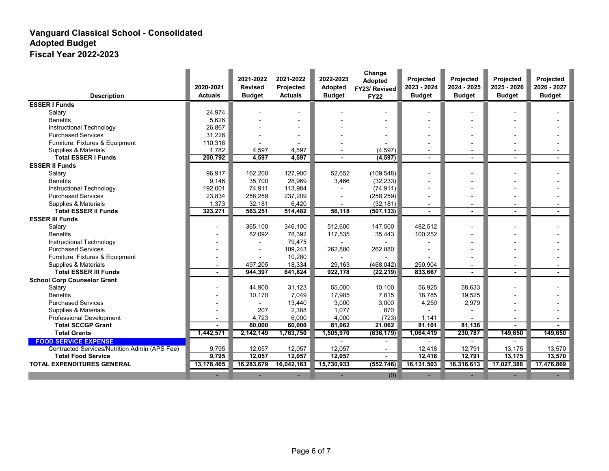|                                               | 2020-2021                | 2021-2022<br><b>Revised</b> | 2021-2022<br>Projected | 2022-2023<br><b>Adopted</b> | Change<br>Adopted<br>FY23/ Revised | Projected<br>2023 - 2024 | Projected<br>2024 - 2025 | Projected<br>2025 - 2026 | Projected<br>2026 - 2027 |
|-----------------------------------------------|--------------------------|-----------------------------|------------------------|-----------------------------|------------------------------------|--------------------------|--------------------------|--------------------------|--------------------------|
| <b>Description</b>                            | <b>Actuals</b>           | <b>Budget</b>               | <b>Actuals</b>         | <b>Budget</b>               | <b>FY22</b>                        | <b>Budget</b>            | <b>Budget</b>            | <b>Budget</b>            | <b>Budget</b>            |
| <b>ESSER I Funds</b>                          |                          |                             |                        |                             |                                    |                          |                          |                          |                          |
| Salary                                        | 24,974                   |                             |                        |                             |                                    |                          |                          |                          |                          |
| <b>Benefits</b>                               | 5,626                    |                             |                        |                             |                                    |                          |                          |                          |                          |
| Instructional Technology                      | 26,867                   |                             |                        |                             |                                    |                          |                          |                          |                          |
| <b>Purchased Services</b>                     | 31,226                   |                             |                        |                             |                                    |                          |                          |                          |                          |
| Furniture, Fixtures & Equipment               | 110,316                  |                             |                        |                             |                                    |                          |                          |                          |                          |
| Supplies & Materials                          | 1.782                    | 4,597                       | 4,597                  |                             | (4, 597)                           | $\overline{\phantom{a}}$ |                          |                          |                          |
| <b>Total ESSER I Funds</b>                    | 200,792                  | 4,597                       | 4,597                  |                             | (4, 597)                           |                          |                          |                          |                          |
| <b>ESSER II Funds</b>                         |                          |                             |                        |                             |                                    |                          |                          |                          |                          |
| Salary                                        | 96,917                   | 162,200                     | 127,900                | 52,652                      | (109, 548)                         |                          |                          |                          |                          |
| <b>Benefits</b>                               | 9,146                    | 35,700                      | 28,969                 | 3,466                       | (32, 233)                          |                          |                          |                          |                          |
| Instructional Technology                      | 192,001                  | 74,911                      | 113,984                |                             | (74, 911)                          |                          |                          |                          |                          |
| <b>Purchased Services</b>                     | 23,834                   | 258,259                     | 237,209                |                             | (258, 259)                         |                          |                          |                          |                          |
| Supplies & Materials                          | 1,373                    | 32.181                      | 6,420                  | $\blacksquare$              | (32, 181)                          | $\overline{\phantom{a}}$ |                          |                          |                          |
| <b>Total ESSER II Funds</b>                   | 323,271                  | 563,251                     | 514,482                | 56,118                      | (507, 133)                         |                          |                          |                          |                          |
| <b>ESSER III Funds</b>                        |                          |                             |                        |                             |                                    |                          |                          |                          |                          |
| Salary                                        |                          | 365,100                     | 346,100                | 512,600                     | 147,500                            | 482,512                  |                          |                          |                          |
| <b>Benefits</b>                               |                          | 82,092                      | 78,392                 | 117,535                     | 35,443                             | 100,252                  |                          |                          |                          |
| Instructional Technology                      |                          |                             | 79,475                 |                             |                                    |                          |                          |                          |                          |
| <b>Purchased Services</b>                     |                          |                             | 109,243                | 262,880                     | 262,880                            |                          |                          |                          |                          |
| Furniture, Fixtures & Equipment               | $\overline{\phantom{0}}$ |                             | 10,280                 |                             |                                    |                          |                          |                          |                          |
| Supplies & Materials                          | $\overline{a}$           | 497.205                     | 18,334                 | 29,163                      | (468, 042)                         | 250.904                  |                          |                          |                          |
| <b>Total ESSER III Funds</b>                  | $\blacksquare$           | 944.397                     | 641,824                | 922,178                     | (22, 219)                          | 833,667                  |                          |                          |                          |
| <b>School Corp Counselor Grant</b>            |                          |                             |                        |                             |                                    |                          |                          |                          |                          |
| Salary                                        |                          | 44.900                      | 31,123                 | 55,000                      | 10,100                             | 56,925                   | 58,633                   |                          |                          |
| <b>Benefits</b>                               |                          | 10,170                      | 7,049                  | 17,985                      | 7,815                              | 18,785                   | 19,525                   |                          |                          |
| <b>Purchased Services</b>                     |                          |                             | 13,440                 | 3,000                       | 3,000                              | 4,250                    | 2,979                    |                          |                          |
| Supplies & Materials                          |                          | 207                         | 2,388                  | 1,077                       | 870                                |                          |                          |                          |                          |
| <b>Professional Development</b>               |                          | 4,723                       | 6,000                  | 4,000                       | (723)                              | 1,141                    |                          |                          |                          |
| <b>Total SCCGP Grant</b>                      |                          | 60,000                      | 60,000                 | 81,062                      | 21,062                             | 81,101                   | 81,136                   |                          |                          |
| <b>Total Grants</b>                           | 1,442,571                | 2,142,149                   | 1,763,750              | 1,505,970                   | (636, 179)                         | 1,064,419                | 230,787                  | 149,650                  | 149,650                  |
| <b>FOOD SERVICE EXPENSE</b>                   |                          |                             |                        |                             |                                    |                          |                          |                          |                          |
| Contracted Services/Nutrition Admin (APS Fee) | 9,795                    | 12,057                      | 12,057                 | 12,057                      | $\overline{a}$                     | 12,418                   | 12,791                   | 13,175                   | 13,570                   |
| <b>Total Food Service</b>                     | 9,795                    | 12,057                      | 12,057                 | 12,057                      |                                    | 12,418                   | 12,791                   | 13,175                   | 13,570                   |
| <b>TOTAL EXPENDITURES GENERAL</b>             | 13,178,465               | 16,283,679                  | 16,042,163             | 15,730,933                  | (552, 746)                         | 16,131,503               | 16,316,613               | 17,027,388               | 17,476,869               |
|                                               |                          |                             |                        |                             | (0)                                |                          |                          |                          |                          |